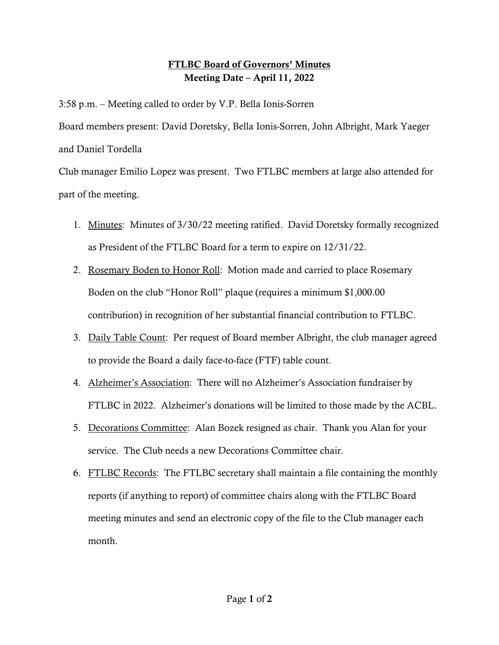## **FTLBC Board of Governors' Minutes Meeting Date – April 11, 2022**

3:58 p.m. – Meeting called to order by V.P. Bella Ionis-Sorren Board members present: David Doretsky, Bella Ionis-Sorren, John Albright, Mark Yaeger and Daniel Tordella

Club manager Emilio Lopez was present. Two FTLBC members at large also attended for part of the meeting.

- 1. Minutes: Minutes of 3/30/22 meeting ratified. David Doretsky formally recognized as President of the FTLBC Board for a term to expire on 12/31/22.
- 2. Rosemary Boden to Honor Roll: Motion made and carried to place Rosemary Boden on the club "Honor Roll" plaque (requires a minimum \$1,000.00 contribution) in recognition of her substantial financial contribution to FTLBC.
- 3. Daily Table Count: Per request of Board member Albright, the club manager agreed to provide the Board a daily face-to-face (FTF) table count.
- 4. Alzheimer's Association: There will no Alzheimer's Association fundraiser by FTLBC in 2022. Alzheimer's donations will be limited to those made by the ACBL.
- 5. Decorations Committee: Alan Bozek resigned as chair. Thank you Alan for your service. The Club needs a new Decorations Committee chair.
- 6. FTLBC Records: The FTLBC secretary shall maintain a file containing the monthly reports (if anything to report) of committee chairs along with the FTLBC Board meeting minutes and send an electronic copy of the file to the Club manager each month.